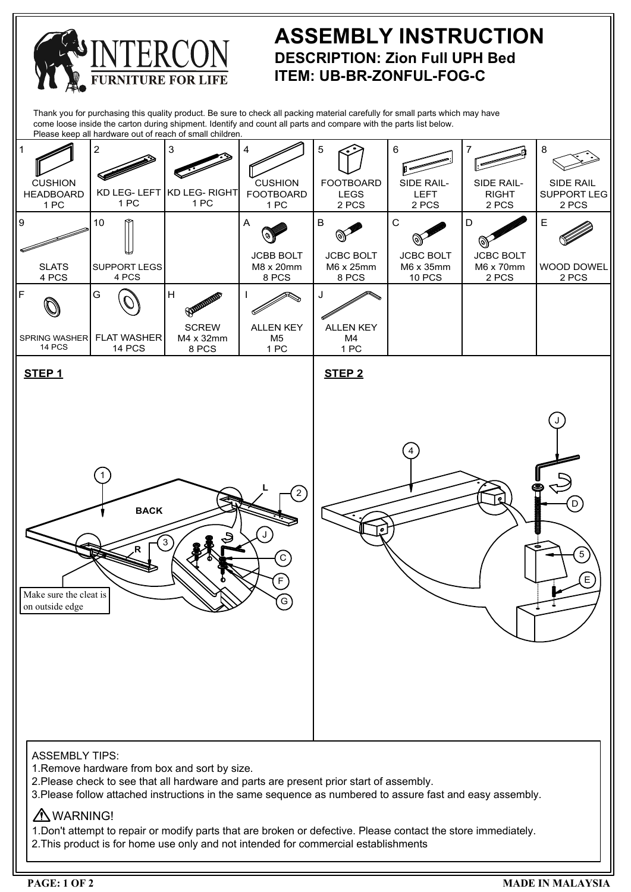